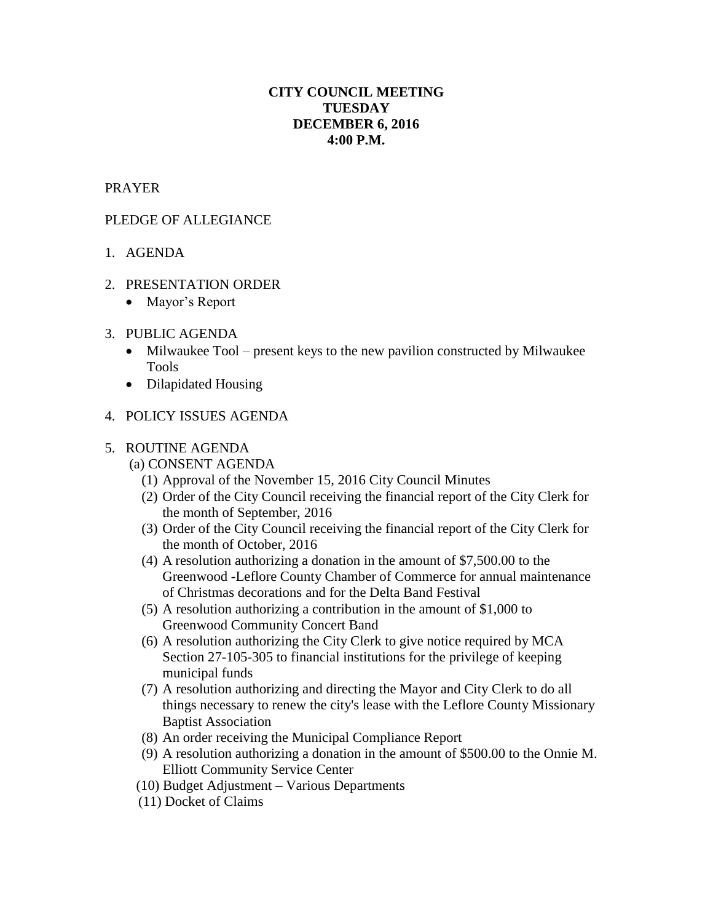# **CITY COUNCIL MEETING TUESDAY DECEMBER 6, 2016 4:00 P.M.**

## PRAYER

### PLEDGE OF ALLEGIANCE

- 1. AGENDA
- 2. PRESENTATION ORDER
	- Mayor's Report

## 3. PUBLIC AGENDA

- Milwaukee Tool present keys to the new pavilion constructed by Milwaukee Tools
- Dilapidated Housing

## 4. POLICY ISSUES AGENDA

### 5. ROUTINE AGENDA

- (a) CONSENT AGENDA
	- (1) Approval of the November 15, 2016 City Council Minutes
	- (2) Order of the City Council receiving the financial report of the City Clerk for the month of September, 2016
	- (3) Order of the City Council receiving the financial report of the City Clerk for the month of October, 2016
	- (4) A resolution authorizing a donation in the amount of \$7,500.00 to the Greenwood -Leflore County Chamber of Commerce for annual maintenance of Christmas decorations and for the Delta Band Festival
	- (5) A resolution authorizing a contribution in the amount of \$1,000 to Greenwood Community Concert Band
	- (6) A resolution authorizing the City Clerk to give notice required by MCA Section 27-105-305 to financial institutions for the privilege of keeping municipal funds
	- (7) A resolution authorizing and directing the Mayor and City Clerk to do all things necessary to renew the city's lease with the Leflore County Missionary Baptist Association
	- (8) An order receiving the Municipal Compliance Report
	- (9) A resolution authorizing a donation in the amount of \$500.00 to the Onnie M. Elliott Community Service Center
	- (10) Budget Adjustment Various Departments
	- (11) Docket of Claims